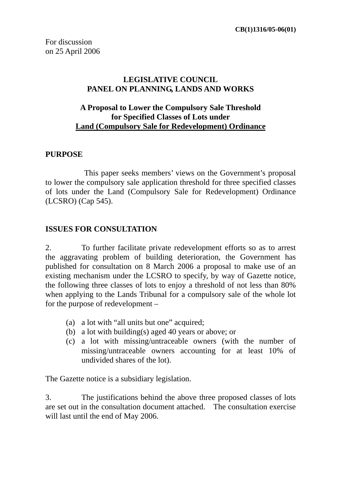## **LEGISLATIVE COUNCIL PANEL ON PLANNING, LANDS AND WORKS**

### **A Proposal to Lower the Compulsory Sale Threshold for Specified Classes of Lots under Land (Compulsory Sale for Redevelopment) Ordinance**

#### **PURPOSE**

This paper seeks members' views on the Government's proposal to lower the compulsory sale application threshold for three specified classes of lots under the Land (Compulsory Sale for Redevelopment) Ordinance (LCSRO) (Cap 545).

#### **ISSUES FOR CONSULTATION**

2. To further facilitate private redevelopment efforts so as to arrest the aggravating problem of building deterioration, the Government has published for consultation on 8 March 2006 a proposal to make use of an existing mechanism under the LCSRO to specify, by way of Gazette notice, the following three classes of lots to enjoy a threshold of not less than 80% when applying to the Lands Tribunal for a compulsory sale of the whole lot for the purpose of redevelopment –

- (a) a lot with "all units but one" acquired;
- (b) a lot with building(s) aged 40 years or above; or
- (c) a lot with missing/untraceable owners (with the number of missing/untraceable owners accounting for at least 10% of undivided shares of the lot).

The Gazette notice is a subsidiary legislation.

3. The justifications behind the above three proposed classes of lots are set out in the consultation document attached. The consultation exercise will last until the end of May 2006.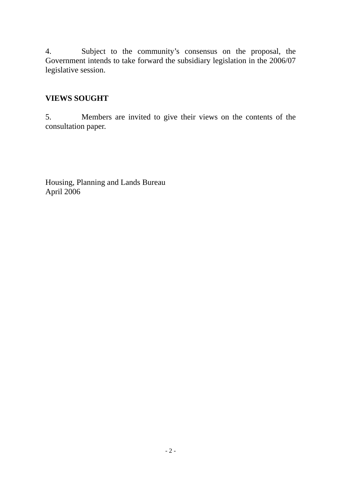4. Subject to the community's consensus on the proposal, the Government intends to take forward the subsidiary legislation in the 2006/07 legislative session.

# **VIEWS SOUGHT**

5. Members are invited to give their views on the contents of the consultation paper.

Housing, Planning and Lands Bureau April 2006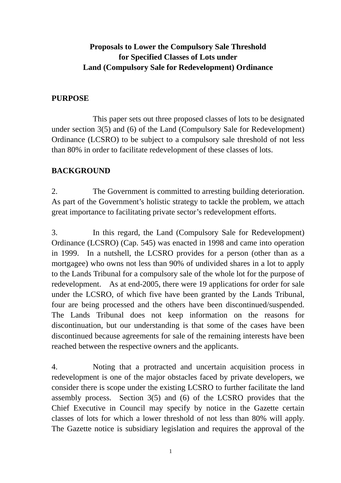# **Proposals to Lower the Compulsory Sale Threshold for Specified Classes of Lots under Land (Compulsory Sale for Redevelopment) Ordinance**

#### **PURPOSE**

This paper sets out three proposed classes of lots to be designated under section 3(5) and (6) of the Land (Compulsory Sale for Redevelopment) Ordinance (LCSRO) to be subject to a compulsory sale threshold of not less than 80% in order to facilitate redevelopment of these classes of lots.

#### **BACKGROUND**

2. The Government is committed to arresting building deterioration. As part of the Government's holistic strategy to tackle the problem, we attach great importance to facilitating private sector's redevelopment efforts.

3. In this regard, the Land (Compulsory Sale for Redevelopment) Ordinance (LCSRO) (Cap. 545) was enacted in 1998 and came into operation in 1999. In a nutshell, the LCSRO provides for a person (other than as a mortgagee) who owns not less than 90% of undivided shares in a lot to apply to the Lands Tribunal for a compulsory sale of the whole lot for the purpose of redevelopment. As at end-2005, there were 19 applications for order for sale under the LCSRO, of which five have been granted by the Lands Tribunal, four are being processed and the others have been discontinued/suspended. The Lands Tribunal does not keep information on the reasons for discontinuation, but our understanding is that some of the cases have been discontinued because agreements for sale of the remaining interests have been reached between the respective owners and the applicants.

4. Noting that a protracted and uncertain acquisition process in redevelopment is one of the major obstacles faced by private developers, we consider there is scope under the existing LCSRO to further facilitate the land assembly process. Section 3(5) and (6) of the LCSRO provides that the Chief Executive in Council may specify by notice in the Gazette certain classes of lots for which a lower threshold of not less than 80% will apply. The Gazette notice is subsidiary legislation and requires the approval of the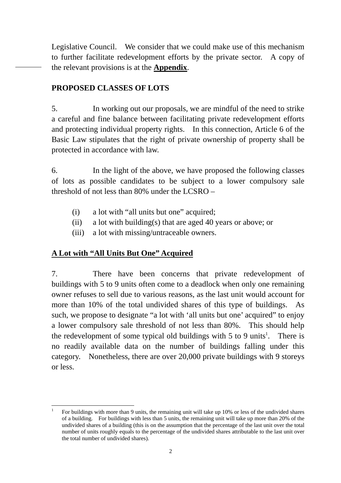Legislative Council. We consider that we could make use of this mechanism to further facilitate redevelopment efforts by the private sector. A copy of the relevant provisions is at the **Appendix**.

### **PROPOSED CLASSES OF LOTS**

5. In working out our proposals, we are mindful of the need to strike a careful and fine balance between facilitating private redevelopment efforts and protecting individual property rights. In this connection, Article 6 of the Basic Law stipulates that the right of private ownership of property shall be protected in accordance with law.

6. In the light of the above, we have proposed the following classes of lots as possible candidates to be subject to a lower compulsory sale threshold of not less than 80% under the LCSRO –

- (i) a lot with "all units but one" acquired;
- (ii) a lot with building(s) that are aged 40 years or above; or
- (iii) a lot with missing/untraceable owners.

## **A Lot with "All Units But One" Acquired**

7. There have been concerns that private redevelopment of buildings with 5 to 9 units often come to a deadlock when only one remaining owner refuses to sell due to various reasons, as the last unit would account for more than 10% of the total undivided shares of this type of buildings. As such, we propose to designate "a lot with 'all units but one' acquired" to enjoy a lower compulsory sale threshold of not less than 80%. This should help the redevelopment of some typical old buildings with  $5$  to  $9$  units<sup>1</sup>. There is no readily available data on the number of buildings falling under this category. Nonetheless, there are over 20,000 private buildings with 9 storeys or less.

 $\frac{1}{1}$  For buildings with more than 9 units, the remaining unit will take up 10% or less of the undivided shares of a building. For buildings with less than 5 units, the remaining unit will take up more than 20% of the undivided shares of a building (this is on the assumption that the percentage of the last unit over the total number of units roughly equals to the percentage of the undivided shares attributable to the last unit over the total number of undivided shares).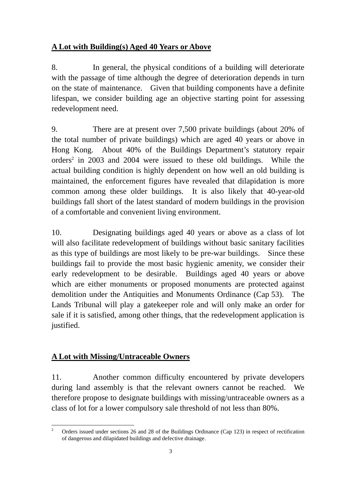# **A Lot with Building(s) Aged 40 Years or Above**

8. In general, the physical conditions of a building will deteriorate with the passage of time although the degree of deterioration depends in turn on the state of maintenance. Given that building components have a definite lifespan, we consider building age an objective starting point for assessing redevelopment need.

9. There are at present over 7,500 private buildings (about 20% of the total number of private buildings) which are aged 40 years or above in Hong Kong. About 40% of the Buildings Department's statutory repair orders<sup>2</sup> in 2003 and 2004 were issued to these old buildings. While the actual building condition is highly dependent on how well an old building is maintained, the enforcement figures have revealed that dilapidation is more common among these older buildings. It is also likely that 40-year-old buildings fall short of the latest standard of modern buildings in the provision of a comfortable and convenient living environment.

10. Designating buildings aged 40 years or above as a class of lot will also facilitate redevelopment of buildings without basic sanitary facilities as this type of buildings are most likely to be pre-war buildings. Since these buildings fail to provide the most basic hygienic amenity, we consider their early redevelopment to be desirable. Buildings aged 40 years or above which are either monuments or proposed monuments are protected against demolition under the Antiquities and Monuments Ordinance (Cap 53). The Lands Tribunal will play a gatekeeper role and will only make an order for sale if it is satisfied, among other things, that the redevelopment application is justified.

# **A Lot with Missing/Untraceable Owners**

11. Another common difficulty encountered by private developers during land assembly is that the relevant owners cannot be reached. We therefore propose to designate buildings with missing/untraceable owners as a class of lot for a lower compulsory sale threshold of not less than 80%.

 $\frac{1}{2}$  Orders issued under sections 26 and 28 of the Buildings Ordinance (Cap 123) in respect of rectification of dangerous and dilapidated buildings and defective drainage.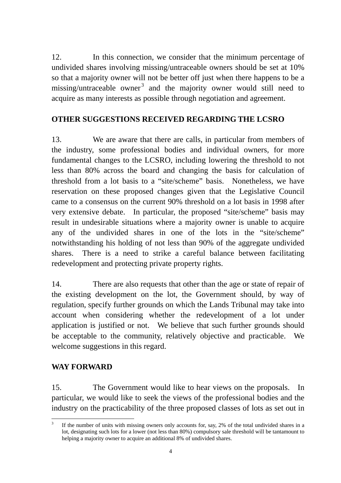12. In this connection, we consider that the minimum percentage of undivided shares involving missing/untraceable owners should be set at 10% so that a majority owner will not be better off just when there happens to be a missing/untraceable owner<sup>3</sup> and the majority owner would still need to acquire as many interests as possible through negotiation and agreement.

# **OTHER SUGGESTIONS RECEIVED REGARDING THE LCSRO**

13. We are aware that there are calls, in particular from members of the industry, some professional bodies and individual owners, for more fundamental changes to the LCSRO, including lowering the threshold to not less than 80% across the board and changing the basis for calculation of threshold from a lot basis to a "site/scheme" basis. Nonetheless, we have reservation on these proposed changes given that the Legislative Council came to a consensus on the current 90% threshold on a lot basis in 1998 after very extensive debate. In particular, the proposed "site/scheme" basis may result in undesirable situations where a majority owner is unable to acquire any of the undivided shares in one of the lots in the "site/scheme" notwithstanding his holding of not less than 90% of the aggregate undivided shares. There is a need to strike a careful balance between facilitating redevelopment and protecting private property rights.

14. There are also requests that other than the age or state of repair of the existing development on the lot, the Government should, by way of regulation, specify further grounds on which the Lands Tribunal may take into account when considering whether the redevelopment of a lot under application is justified or not. We believe that such further grounds should be acceptable to the community, relatively objective and practicable. We welcome suggestions in this regard.

# **WAY FORWARD**

15. The Government would like to hear views on the proposals. In particular, we would like to seek the views of the professional bodies and the industry on the practicability of the three proposed classes of lots as set out in

 $\overline{a}$ 3 If the number of units with missing owners only accounts for, say, 2% of the total undivided shares in a lot, designating such lots for a lower (not less than 80%) compulsory sale threshold will be tantamount to helping a majority owner to acquire an additional 8% of undivided shares.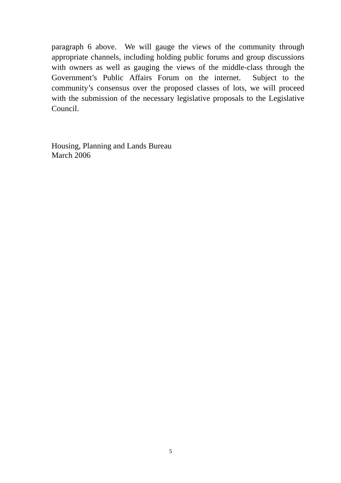paragraph 6 above. We will gauge the views of the community through appropriate channels, including holding public forums and group discussions with owners as well as gauging the views of the middle-class through the Government's Public Affairs Forum on the internet. Subject to the community's consensus over the proposed classes of lots, we will proceed with the submission of the necessary legislative proposals to the Legislative Council.

Housing, Planning and Lands Bureau March 2006